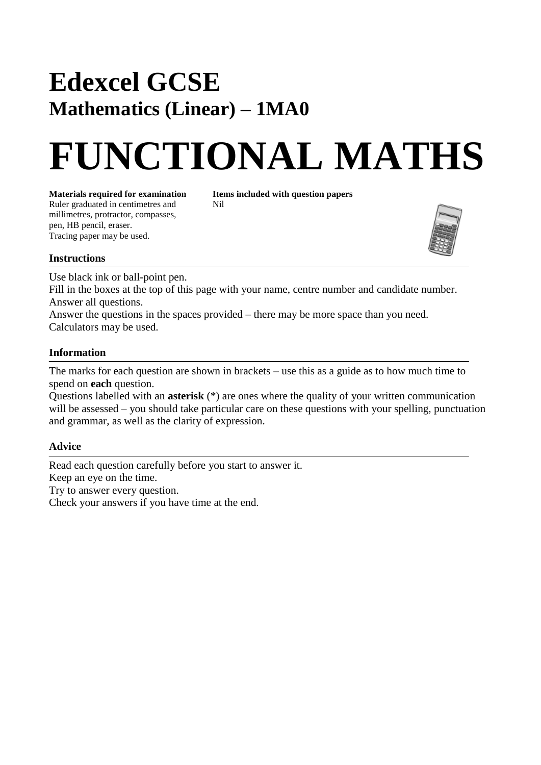# **Edexcel GCSE Mathematics (Linear) – 1MA0**

# **FUNCTIONAL MATHS**

**Materials required for examination Items included with question papers**<br>Ruler graduated in centimetres and **Nil** Ruler graduated in centimetres and millimetres, protractor, compasses, pen, HB pencil, eraser. Tracing paper may be used.



## **Instructions**

Use black ink or ball-point pen.

Fill in the boxes at the top of this page with your name, centre number and candidate number. Answer all questions.

Answer the questions in the spaces provided – there may be more space than you need. Calculators may be used.

## **Information**

The marks for each question are shown in brackets – use this as a guide as to how much time to spend on **each** question.

Questions labelled with an **asterisk** (\*) are ones where the quality of your written communication will be assessed – you should take particular care on these questions with your spelling, punctuation and grammar, as well as the clarity of expression.

# **Advice**

Read each question carefully before you start to answer it. Keep an eye on the time. Try to answer every question. Check your answers if you have time at the end.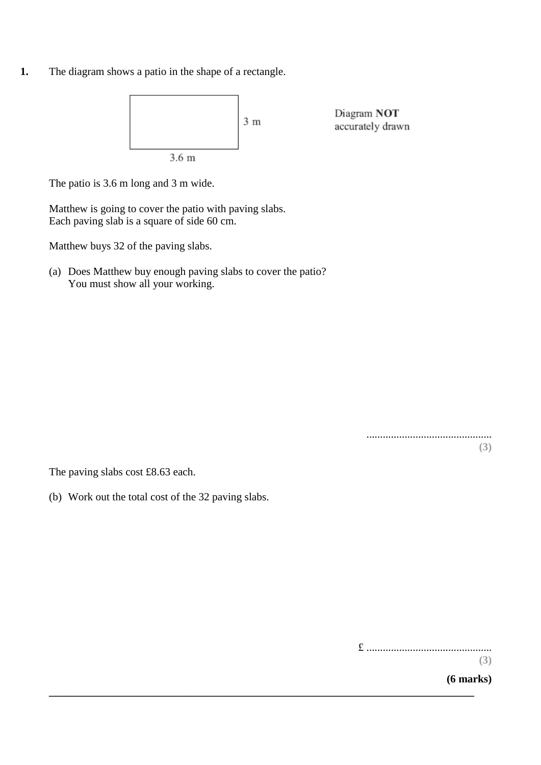**1.** The diagram shows a patio in the shape of a rectangle.



**\_\_\_\_\_\_\_\_\_\_\_\_\_\_\_\_\_\_\_\_\_\_\_\_\_\_\_\_\_\_\_\_\_\_\_\_\_\_\_\_\_\_\_\_\_\_\_\_\_\_\_\_\_\_\_\_\_\_\_\_\_\_\_\_\_\_\_\_\_\_\_\_\_\_\_\_\_\_**

The patio is 3.6 m long and 3 m wide.

Matthew is going to cover the patio with paving slabs. Each paving slab is a square of side 60 cm.

Matthew buys 32 of the paving slabs.

(a) Does Matthew buy enough paving slabs to cover the patio? You must show all your working.

> .............................................. **(3)**

The paving slabs cost £8.63 each.

(b) Work out the total cost of the 32 paving slabs.

£ ..............................................

**(3)**

**(6 marks)**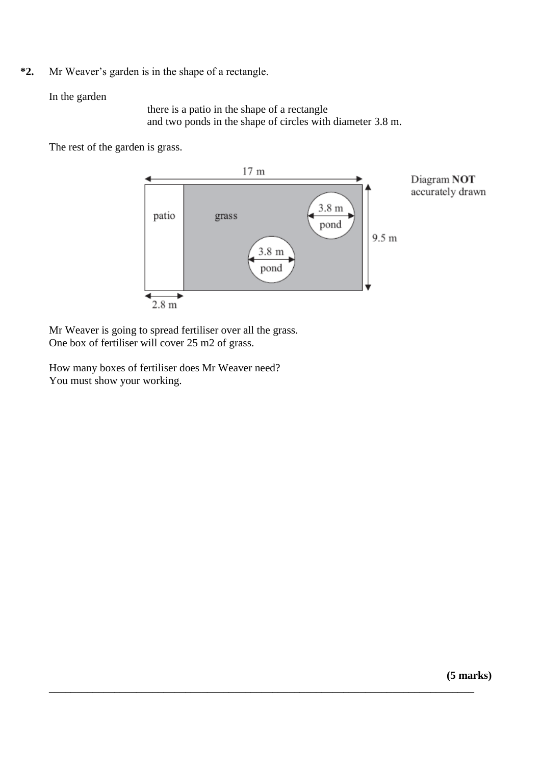**\*2.** Mr Weaver's garden is in the shape of a rectangle.

## In the garden

there is a patio in the shape of a rectangle and two ponds in the shape of circles with diameter 3.8 m.

The rest of the garden is grass.



**\_\_\_\_\_\_\_\_\_\_\_\_\_\_\_\_\_\_\_\_\_\_\_\_\_\_\_\_\_\_\_\_\_\_\_\_\_\_\_\_\_\_\_\_\_\_\_\_\_\_\_\_\_\_\_\_\_\_\_\_\_\_\_\_\_\_\_\_\_\_\_\_\_\_\_\_\_\_**

Mr Weaver is going to spread fertiliser over all the grass. One box of fertiliser will cover 25 m2 of grass.

How many boxes of fertiliser does Mr Weaver need? You must show your working.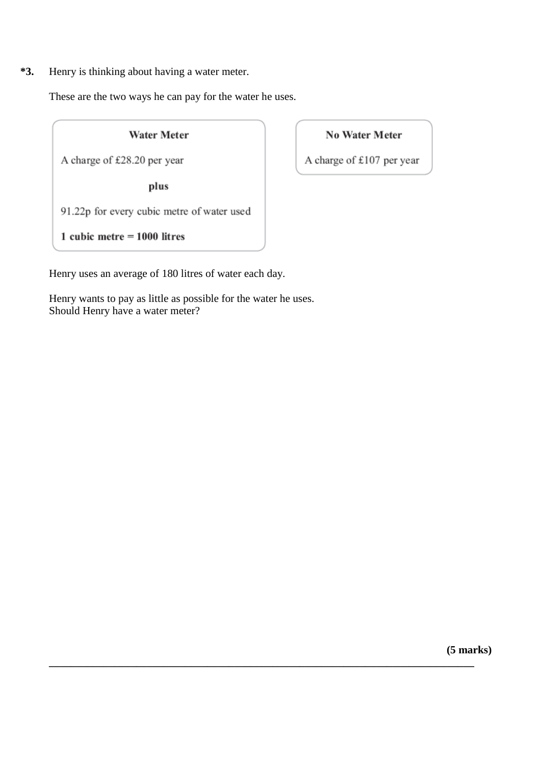**\*3.** Henry is thinking about having a water meter.

These are the two ways he can pay for the water he uses.

#### **Water Meter**

A charge of £28.20 per year

plus

91.22p for every cubic metre of water used

1 cubic metre  $= 1000$  litres

Henry uses an average of 180 litres of water each day.

Henry wants to pay as little as possible for the water he uses. Should Henry have a water meter?

**\_\_\_\_\_\_\_\_\_\_\_\_\_\_\_\_\_\_\_\_\_\_\_\_\_\_\_\_\_\_\_\_\_\_\_\_\_\_\_\_\_\_\_\_\_\_\_\_\_\_\_\_\_\_\_\_\_\_\_\_\_\_\_\_\_\_\_\_\_\_\_\_\_\_\_\_\_\_**

# **No Water Meter**

A charge of £107 per year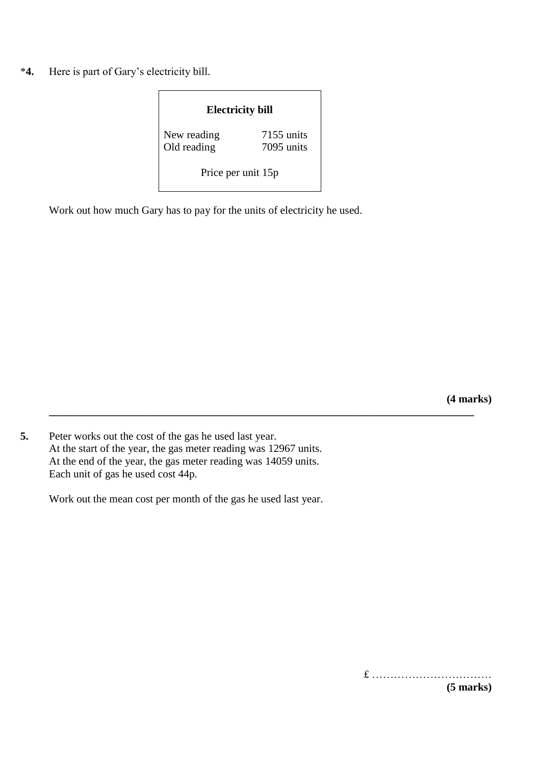\***4.** Here is part of Gary's electricity bill.

| <b>Electricity bill</b>    |                          |
|----------------------------|--------------------------|
| New reading<br>Old reading | 7155 units<br>7095 units |
| Price per unit 15p         |                          |

**\_\_\_\_\_\_\_\_\_\_\_\_\_\_\_\_\_\_\_\_\_\_\_\_\_\_\_\_\_\_\_\_\_\_\_\_\_\_\_\_\_\_\_\_\_\_\_\_\_\_\_\_\_\_\_\_\_\_\_\_\_\_\_\_\_\_\_\_\_\_\_\_\_\_\_\_\_\_**

Work out how much Gary has to pay for the units of electricity he used.

**(4 marks)**

**5.** Peter works out the cost of the gas he used last year. At the start of the year, the gas meter reading was 12967 units. At the end of the year, the gas meter reading was 14059 units. Each unit of gas he used cost 44p.

Work out the mean cost per month of the gas he used last year.

£ ……………………………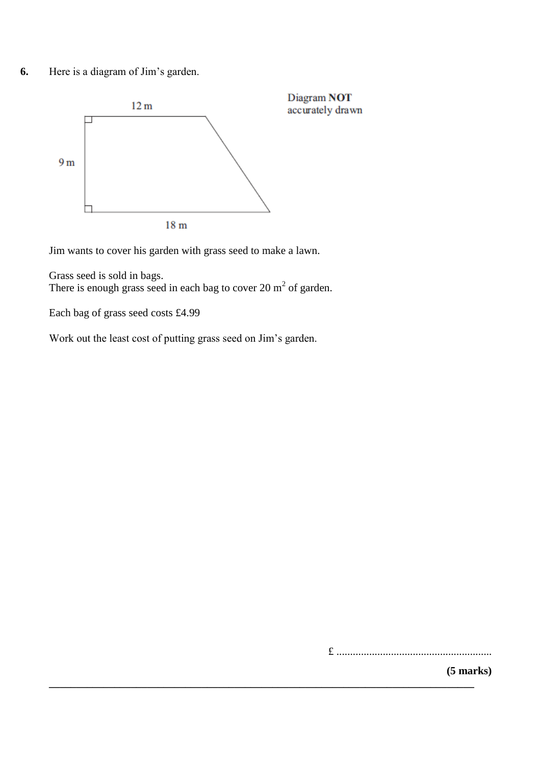**6.** Here is a diagram of Jim's garden.



Jim wants to cover his garden with grass seed to make a lawn.

Grass seed is sold in bags. There is enough grass seed in each bag to cover 20  $m<sup>2</sup>$  of garden.

Each bag of grass seed costs £4.99

Work out the least cost of putting grass seed on Jim's garden.

**\_\_\_\_\_\_\_\_\_\_\_\_\_\_\_\_\_\_\_\_\_\_\_\_\_\_\_\_\_\_\_\_\_\_\_\_\_\_\_\_\_\_\_\_\_\_\_\_\_\_\_\_\_\_\_\_\_\_\_\_\_\_\_\_\_\_\_\_\_\_\_\_\_\_\_\_\_\_**

£ .........................................................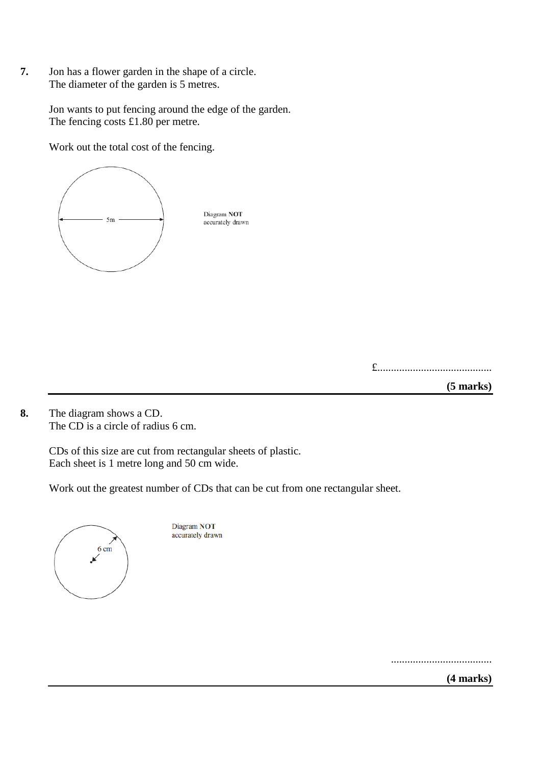**7.** Jon has a flower garden in the shape of a circle. The diameter of the garden is 5 metres.

> Jon wants to put fencing around the edge of the garden. The fencing costs £1.80 per metre.

Work out the total cost of the fencing.



£..........................................

**(5 marks)**

**8.** The diagram shows a CD. The CD is a circle of radius 6 cm.

> CDs of this size are cut from rectangular sheets of plastic. Each sheet is 1 metre long and 50 cm wide.

Work out the greatest number of CDs that can be cut from one rectangular sheet.



Diagram NOT accurately drawn

.....................................

**(4 marks)**